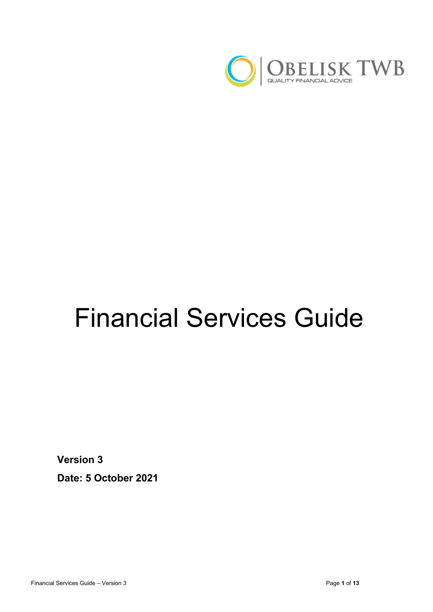

# Financial Services Guide

**Version 3**

**Date: 5 October 2021**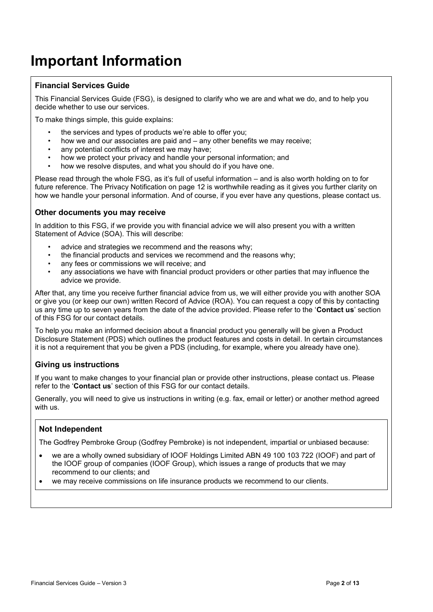### **Important Information**

#### **Financial Services Guide**

This Financial Services Guide (FSG), is designed to clarify who we are and what we do, and to help you decide whether to use our services.

To make things simple, this guide explains:

- the services and types of products we're able to offer you:
- how we and our associates are paid and any other benefits we may receive;
- any potential conflicts of interest we may have:
- how we protect your privacy and handle your personal information; and
- how we resolve disputes, and what you should do if you have one.

Please read through the whole FSG, as it's full of useful information – and is also worth holding on to for future reference. The Privacy Notification on page 12 is worthwhile reading as it gives you further clarity on how we handle your personal information. And of course, if you ever have any questions, please contact us.

#### **Other documents you may receive**

In addition to this FSG, if we provide you with financial advice we will also present you with a written Statement of Advice (SOA). This will describe:

- advice and strategies we recommend and the reasons why:
- the financial products and services we recommend and the reasons why;
- any fees or commissions we will receive; and
- any associations we have with financial product providers or other parties that may influence the advice we provide.

After that, any time you receive further financial advice from us, we will either provide you with another SOA or give you (or keep our own) written Record of Advice (ROA). You can request a copy of this by contacting us any time up to seven years from the date of the advice provided. Please refer to the '**Contact us**' section of this FSG for our contact details.

To help you make an informed decision about a financial product you generally will be given a Product Disclosure Statement (PDS) which outlines the product features and costs in detail. In certain circumstances it is not a requirement that you be given a PDS (including, for example, where you already have one).

#### **Giving us instructions**

If you want to make changes to your financial plan or provide other instructions, please contact us. Please refer to the '**Contact us**' section of this FSG for our contact details.

Generally, you will need to give us instructions in writing (e.g. fax, email or letter) or another method agreed with us.

#### **Not Independent**

The Godfrey Pembroke Group (Godfrey Pembroke) is not independent, impartial or unbiased because:

- we are a wholly owned subsidiary of IOOF Holdings Limited ABN 49 100 103 722 (IOOF) and part of the IOOF group of companies (IOOF Group), which issues a range of products that we may recommend to our clients; and
- we may receive commissions on life insurance products we recommend to our clients.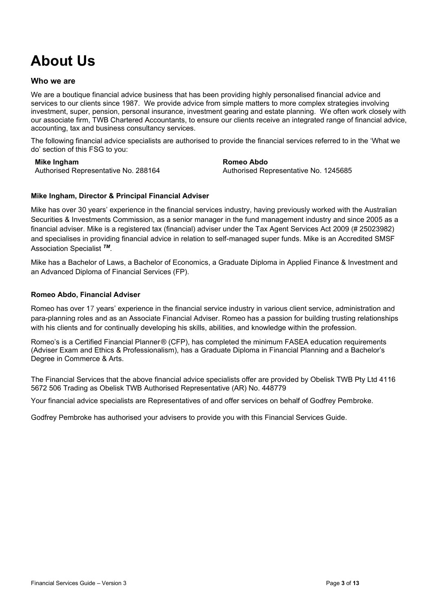## **About Us**

#### **Who we are**

We are a boutique financial advice business that has been providing highly personalised financial advice and services to our clients since 1987. We provide advice from simple matters to more complex strategies involving investment, super, pension, personal insurance, investment gearing and estate planning. We often work closely with our associate firm, TWB Chartered Accountants, to ensure our clients receive an integrated range of financial advice, accounting, tax and business consultancy services.

The following financial advice specialists are authorised to provide the financial services referred to in the 'What we do' section of this FSG to you:

#### **Mike Ingham**

Authorised Representative No. 288164

**Romeo Abdo**

Authorised Representative No. 1245685

#### **Mike Ingham, Director & Principal Financial Adviser**

Mike has over 30 years' experience in the financial services industry, having previously worked with the Australian Securities & Investments Commission, as a senior manager in the fund management industry and since 2005 as a financial adviser. Mike is a registered tax (financial) adviser under the Tax Agent Services Act 2009 (# 25023982) and specialises in providing financial advice in relation to self-managed super funds. Mike is an Accredited SMSF Association Specialist *TM.*

Mike has a Bachelor of Laws, a Bachelor of Economics, a Graduate Diploma in Applied Finance & Investment and an Advanced Diploma of Financial Services (FP).

#### **Romeo Abdo, Financial Adviser**

Romeo has over 17 years' experience in the financial service industry in various client service, administration and para-planning roles and as an Associate Financial Adviser. Romeo has a passion for building trusting relationships with his clients and for continually developing his skills, abilities, and knowledge within the profession.

Romeo's is a Certified Financial Planner® (CFP), has completed the minimum FASEA education requirements (Adviser Exam and [Ethics & Professionalism\)](https://protect-au.mimecast.com/s/7xM-CL7EgyfEBVgsBbbHA?domain=kaplanprofessional.edu.au/), has a Graduate Diploma in Financial Planning and a Bachelor's Degree in Commerce & Arts.

The Financial Services that the above financial advice specialists offer are provided by Obelisk TWB Pty Ltd 4116 5672 506 Trading as Obelisk TWB Authorised Representative (AR) No. 448779

Your financial advice specialists are Representatives of and offer services on behalf of Godfrey Pembroke.

Godfrey Pembroke has authorised your advisers to provide you with this Financial Services Guide.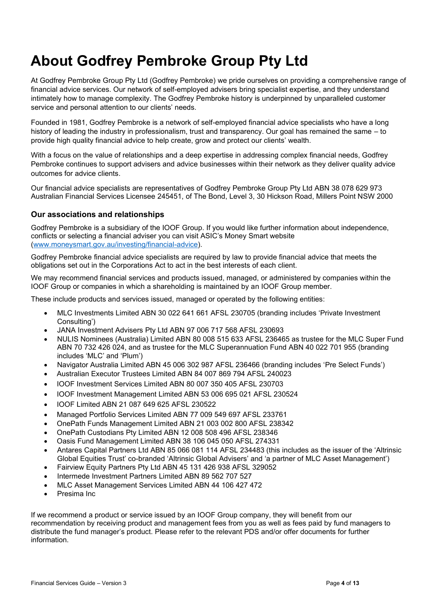### **About Godfrey Pembroke Group Pty Ltd**

At Godfrey Pembroke Group Pty Ltd (Godfrey Pembroke) we pride ourselves on providing a comprehensive range of financial advice services. Our network of self-employed advisers bring specialist expertise, and they understand intimately how to manage complexity. The Godfrey Pembroke history is underpinned by unparalleled customer service and personal attention to our clients' needs.

Founded in 1981, Godfrey Pembroke is a network of self-employed financial advice specialists who have a long history of leading the industry in professionalism, trust and transparency. Our goal has remained the same – to provide high quality financial advice to help create, grow and protect our clients' wealth.

With a focus on the value of relationships and a deep expertise in addressing complex financial needs, Godfrey Pembroke continues to support advisers and advice businesses within their network as they deliver quality advice outcomes for advice clients.

Our financial advice specialists are representatives of Godfrey Pembroke Group Pty Ltd ABN 38 078 629 973 Australian Financial Services Licensee 245451, of The Bond, Level 3, 30 Hickson Road, Millers Point NSW 2000

#### **Our associations and relationships**

Godfrey Pembroke is a subsidiary of the IOOF Group. If you would like further information about independence, conflicts or selecting a financial adviser you can visit ASIC's Money Smart website [\(www.moneysmart.gov.au/investing/financial-advice\)](http://www.moneysmart.gov.au/investing/financial-advice).

Godfrey Pembroke financial advice specialists are required by law to provide financial advice that meets the obligations set out in the Corporations Act to act in the best interests of each client.

We may recommend financial services and products issued, managed, or administered by companies within the IOOF Group or companies in which a shareholding is maintained by an IOOF Group member.

These include products and services issued, managed or operated by the following entities:

- MLC Investments Limited ABN 30 022 641 661 AFSL 230705 (branding includes 'Private Investment Consulting')
- JANA Investment Advisers Pty Ltd ABN 97 006 717 568 AFSL 230693
- NULIS Nominees (Australia) Limited ABN 80 008 515 633 AFSL 236465 as trustee for the MLC Super Fund ABN 70 732 426 024, and as trustee for the MLC Superannuation Fund ABN 40 022 701 955 (branding includes 'MLC' and 'Plum')
- Navigator Australia Limited ABN 45 006 302 987 AFSL 236466 (branding includes 'Pre Select Funds')
- Australian Executor Trustees Limited ABN 84 007 869 794 AFSL 240023
- IOOF Investment Services Limited ABN 80 007 350 405 AFSL 230703
- IOOF Investment Management Limited ABN 53 006 695 021 AFSL 230524
- IOOF Limited ABN 21 087 649 625 AFSL 230522
- Managed Portfolio Services Limited ABN 77 009 549 697 AFSL 233761
- OnePath Funds Management Limited ABN 21 003 002 800 AFSL 238342
- OnePath Custodians Pty Limited ABN 12 008 508 496 AFSL 238346
- Oasis Fund Management Limited ABN 38 106 045 050 AFSL 274331
- Antares Capital Partners Ltd ABN 85 066 081 114 AFSL 234483 (this includes as the issuer of the 'Altrinsic Global Equities Trust' co-branded 'Altrinsic Global Advisers' and 'a partner of MLC Asset Management')
- Fairview Equity Partners Pty Ltd ABN 45 131 426 938 AFSL 329052
- Intermede Investment Partners Limited ABN 89 562 707 527
- MLC Asset Management Services Limited ABN 44 106 427 472
- Presima Inc

If we recommend a product or service issued by an IOOF Group company, they will benefit from our recommendation by receiving product and management fees from you as well as fees paid by fund managers to distribute the fund manager's product. Please refer to the relevant PDS and/or offer documents for further information.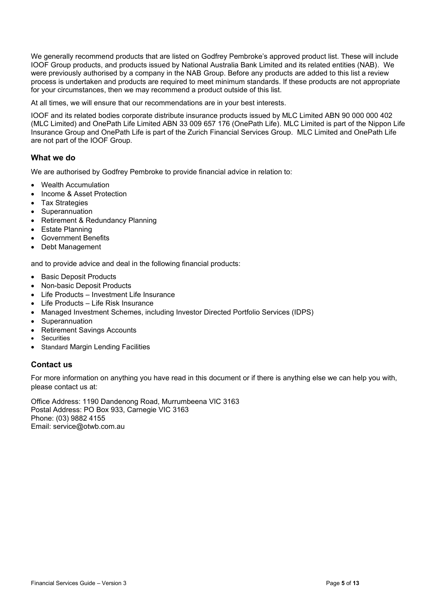We generally recommend products that are listed on Godfrey Pembroke's approved product list. These will include IOOF Group products, and products issued by National Australia Bank Limited and its related entities (NAB). We were previously authorised by a company in the NAB Group. Before any products are added to this list a review process is undertaken and products are required to meet minimum standards. If these products are not appropriate for your circumstances, then we may recommend a product outside of this list.

At all times, we will ensure that our recommendations are in your best interests.

IOOF and its related bodies corporate distribute insurance products issued by MLC Limited ABN 90 000 000 402 (MLC Limited) and OnePath Life Limited ABN 33 009 657 176 (OnePath Life). MLC Limited is part of the Nippon Life Insurance Group and OnePath Life is part of the Zurich Financial Services Group. MLC Limited and OnePath Life are not part of the IOOF Group.

#### **What we do**

We are authorised by Godfrey Pembroke to provide financial advice in relation to:

- Wealth Accumulation
- Income & Asset Protection
- Tax Strategies
- Superannuation
- Retirement & Redundancy Planning
- Estate Planning
- Government Benefits
- Debt Management

and to provide advice and deal in the following financial products:

- **Basic Deposit Products**
- Non-basic Deposit Products
- Life Products Investment Life Insurance
- Life Products Life Risk Insurance
- Managed Investment Schemes, including Investor Directed Portfolio Services (IDPS)
- Superannuation
- Retirement Savings Accounts
- **Securities**
- Standard Margin Lending Facilities

#### **Contact us**

For more information on anything you have read in this document or if there is anything else we can help you with, please contact us at:

Office Address: 1190 Dandenong Road, Murrumbeena VIC 3163 Postal Address: PO Box 933, Carnegie VIC 3163 Phone: (03) 9882 4155 Email: service@otwb.com.au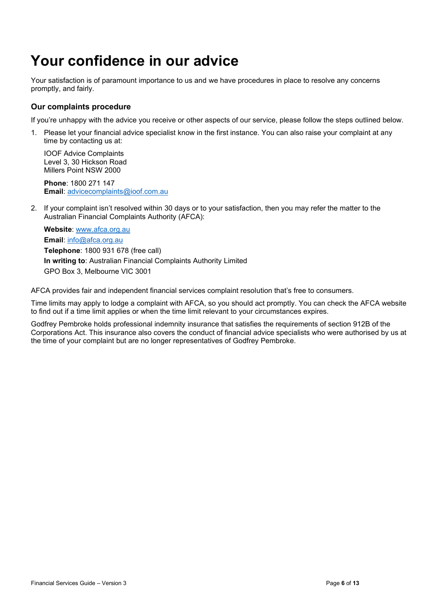### **Your confidence in our advice**

Your satisfaction is of paramount importance to us and we have procedures in place to resolve any concerns promptly, and fairly.

#### **Our complaints procedure**

If you're unhappy with the advice you receive or other aspects of our service, please follow the steps outlined below.

1. Please let your financial advice specialist know in the first instance. You can also raise your complaint at any time by contacting us at:

IOOF Advice Complaints Level 3, 30 Hickson Road Millers Point NSW 2000

**Phone**: 1800 271 147 **Email**: [advicecomplaints@ioof.com.au](mailto:advicecomplaints@ioof.com.au)

2. If your complaint isn't resolved within 30 days or to your satisfaction, then you may refer the matter to the Australian Financial Complaints Authority (AFCA):

**Website**: [www.afca.org.au](http://www.afca.org.au/) **Email**: [info@afca.org.au](mailto:info@afca.org.au) **Telephone**: 1800 931 678 (free call) **In writing to**: Australian Financial Complaints Authority Limited GPO Box 3, Melbourne VIC 3001

AFCA provides fair and independent financial services complaint resolution that's free to consumers.

Time limits may apply to lodge a complaint with AFCA, so you should act promptly. You can check the AFCA website to find out if a time limit applies or when the time limit relevant to your circumstances expires.

Godfrey Pembroke holds professional indemnity insurance that satisfies the requirements of section 912B of the Corporations Act. This insurance also covers the conduct of financial advice specialists who were authorised by us at the time of your complaint but are no longer representatives of Godfrey Pembroke.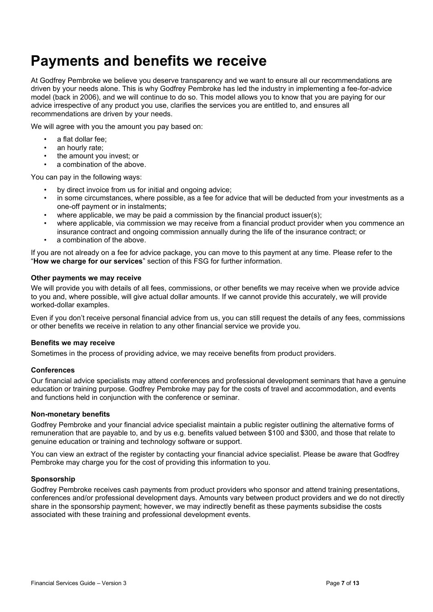### **Payments and benefits we receive**

At Godfrey Pembroke we believe you deserve transparency and we want to ensure all our recommendations are driven by your needs alone. This is why Godfrey Pembroke has led the industry in implementing a fee-for-advice model (back in 2006), and we will continue to do so. This model allows you to know that you are paying for our advice irrespective of any product you use, clarifies the services you are entitled to, and ensures all recommendations are driven by your needs.

We will agree with you the amount you pay based on:

- a flat dollar fee;
- an hourly rate;
- the amount you invest; or
- a combination of the above.

You can pay in the following ways:

- by direct invoice from us for initial and ongoing advice;
- in some circumstances, where possible, as a fee for advice that will be deducted from your investments as a one-off payment or in instalments;
- where applicable, we may be paid a commission by the financial product issuer(s);
- where applicable, via commission we may receive from a financial product provider when you commence an
- insurance contract and ongoing commission annually during the life of the insurance contract; or
- a combination of the above.

If you are not already on a fee for advice package, you can move to this payment at any time. Please refer to the "**How we charge for our services**" section of this FSG for further information.

#### **Other payments we may receive**

We will provide you with details of all fees, commissions, or other benefits we may receive when we provide advice to you and, where possible, will give actual dollar amounts. If we cannot provide this accurately, we will provide worked-dollar examples.

Even if you don't receive personal financial advice from us, you can still request the details of any fees, commissions or other benefits we receive in relation to any other financial service we provide you.

#### **Benefits we may receive**

Sometimes in the process of providing advice, we may receive benefits from product providers.

#### **Conferences**

Our financial advice specialists may attend conferences and professional development seminars that have a genuine education or training purpose. Godfrey Pembroke may pay for the costs of travel and accommodation, and events and functions held in conjunction with the conference or seminar.

#### **Non-monetary benefits**

Godfrey Pembroke and your financial advice specialist maintain a public register outlining the alternative forms of remuneration that are payable to, and by us e.g. benefits valued between \$100 and \$300, and those that relate to genuine education or training and technology software or support.

You can view an extract of the register by contacting your financial advice specialist. Please be aware that Godfrey Pembroke may charge you for the cost of providing this information to you.

#### **Sponsorship**

Godfrey Pembroke receives cash payments from product providers who sponsor and attend training presentations, conferences and/or professional development days. Amounts vary between product providers and we do not directly share in the sponsorship payment; however, we may indirectly benefit as these payments subsidise the costs associated with these training and professional development events.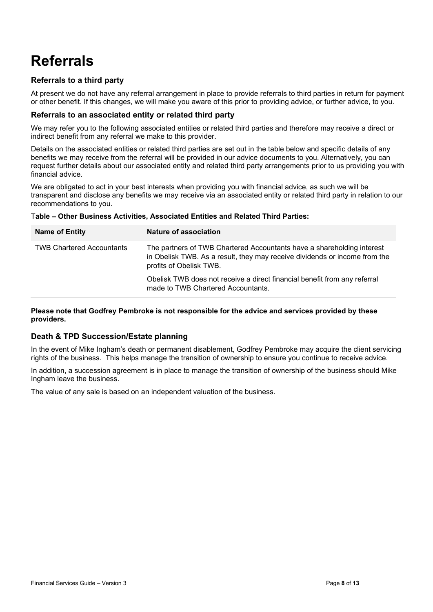### **Referrals**

### **Referrals to a third party**

At present we do not have any referral arrangement in place to provide referrals to third parties in return for payment or other benefit. If this changes, we will make you aware of this prior to providing advice, or further advice, to you.

#### **Referrals to an associated entity or related third party**

We may refer you to the following associated entities or related third parties and therefore may receive a direct or indirect benefit from any referral we make to this provider.

Details on the associated entities or related third parties are set out in the table below and specific details of any benefits we may receive from the referral will be provided in our advice documents to you. Alternatively, you can request further details about our associated entity and related third party arrangements prior to us providing you with financial advice.

We are obligated to act in your best interests when providing you with financial advice, as such we will be transparent and disclose any benefits we may receive via an associated entity or related third party in relation to our recommendations to you.

| <b>Name of Entity</b>            | <b>Nature of association</b>                                                                                                                                                    |
|----------------------------------|---------------------------------------------------------------------------------------------------------------------------------------------------------------------------------|
| <b>TWB Chartered Accountants</b> | The partners of TWB Chartered Accountants have a shareholding interest<br>in Obelisk TWB. As a result, they may receive dividends or income from the<br>profits of Obelisk TWB. |
|                                  | Obelisk TWB does not receive a direct financial benefit from any referral<br>made to TWB Chartered Accountants.                                                                 |

#### T**able – Other Business Activities, Associated Entities and Related Third Parties:**

**Please note that Godfrey Pembroke is not responsible for the advice and services provided by these providers.**

#### **Death & TPD Succession/Estate planning**

In the event of Mike Ingham's death or permanent disablement, Godfrey Pembroke may acquire the client servicing rights of the business. This helps manage the transition of ownership to ensure you continue to receive advice.

In addition, a succession agreement is in place to manage the transition of ownership of the business should Mike Ingham leave the business.

The value of any sale is based on an independent valuation of the business.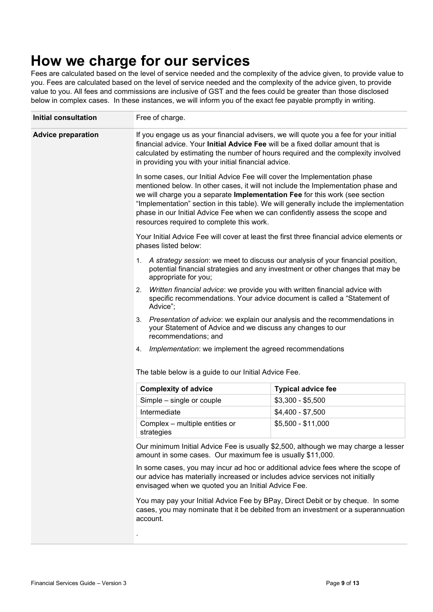### **How we charge for our services**

Fees are calculated based on the level of service needed and the complexity of the advice given, to provide value to you. Fees are calculated based on the level of service needed and the complexity of the advice given, to provide value to you. All fees and commissions are inclusive of GST and the fees could be greater than those disclosed below in complex cases. In these instances, we will inform you of the exact fee payable promptly in writing.

| <b>Initial consultation</b> | Free of charge.                                                                                                                                                                                                                                                                                                                                                                                                                                                     |                                                       |  |  |
|-----------------------------|---------------------------------------------------------------------------------------------------------------------------------------------------------------------------------------------------------------------------------------------------------------------------------------------------------------------------------------------------------------------------------------------------------------------------------------------------------------------|-------------------------------------------------------|--|--|
| <b>Advice preparation</b>   | If you engage us as your financial advisers, we will quote you a fee for your initial<br>financial advice. Your Initial Advice Fee will be a fixed dollar amount that is<br>calculated by estimating the number of hours required and the complexity involved<br>in providing you with your initial financial advice.                                                                                                                                               |                                                       |  |  |
|                             | In some cases, our Initial Advice Fee will cover the Implementation phase<br>mentioned below. In other cases, it will not include the Implementation phase and<br>we will charge you a separate Implementation Fee for this work (see section<br>"Implementation" section in this table). We will generally include the implementation<br>phase in our Initial Advice Fee when we can confidently assess the scope and<br>resources required to complete this work. |                                                       |  |  |
|                             | Your Initial Advice Fee will cover at least the first three financial advice elements or<br>phases listed below:                                                                                                                                                                                                                                                                                                                                                    |                                                       |  |  |
|                             | 1. A strategy session: we meet to discuss our analysis of your financial position,<br>potential financial strategies and any investment or other changes that may be<br>appropriate for you;                                                                                                                                                                                                                                                                        |                                                       |  |  |
|                             | Written financial advice: we provide you with written financial advice with<br>2.<br>specific recommendations. Your advice document is called a "Statement of<br>Advice";                                                                                                                                                                                                                                                                                           |                                                       |  |  |
|                             | Presentation of advice: we explain our analysis and the recommendations in<br>3.<br>your Statement of Advice and we discuss any changes to our<br>recommendations; and                                                                                                                                                                                                                                                                                              |                                                       |  |  |
|                             | Implementation: we implement the agreed recommendations<br>4.                                                                                                                                                                                                                                                                                                                                                                                                       |                                                       |  |  |
|                             |                                                                                                                                                                                                                                                                                                                                                                                                                                                                     | The table below is a guide to our Initial Advice Fee. |  |  |
|                             | <b>Complexity of advice</b>                                                                                                                                                                                                                                                                                                                                                                                                                                         | <b>Typical advice fee</b>                             |  |  |
|                             | Simple – single or couple                                                                                                                                                                                                                                                                                                                                                                                                                                           | $$3,300 - $5,500$                                     |  |  |
|                             | Intermediate                                                                                                                                                                                                                                                                                                                                                                                                                                                        | $$4,400 - $7,500$                                     |  |  |
|                             | Complex - multiple entities or<br>strategies                                                                                                                                                                                                                                                                                                                                                                                                                        | $$5,500 - $11,000$                                    |  |  |
|                             | Our minimum Initial Advice Fee is usually \$2,500, although we may charge a lesser<br>amount in some cases. Our maximum fee is usually \$11,000.                                                                                                                                                                                                                                                                                                                    |                                                       |  |  |
|                             | In some cases, you may incur ad hoc or additional advice fees where the scope of<br>our advice has materially increased or includes advice services not initially<br>envisaged when we quoted you an Initial Advice Fee.                                                                                                                                                                                                                                            |                                                       |  |  |
|                             | You may pay your Initial Advice Fee by BPay, Direct Debit or by cheque. In some<br>cases, you may nominate that it be debited from an investment or a superannuation<br>account.                                                                                                                                                                                                                                                                                    |                                                       |  |  |
|                             |                                                                                                                                                                                                                                                                                                                                                                                                                                                                     |                                                       |  |  |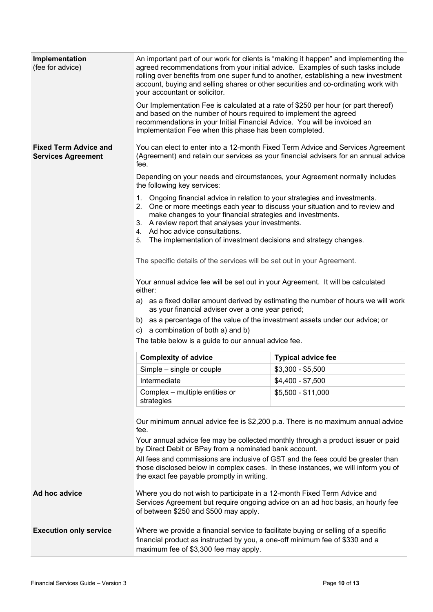| Implementation<br>(fee for advice)                        | An important part of our work for clients is "making it happen" and implementing the<br>agreed recommendations from your initial advice. Examples of such tasks include<br>rolling over benefits from one super fund to another, establishing a new investment<br>account, buying and selling shares or other securities and co-ordinating work with<br>your accountant or solicitor.                                                                                                                       |                           |  |  |
|-----------------------------------------------------------|-------------------------------------------------------------------------------------------------------------------------------------------------------------------------------------------------------------------------------------------------------------------------------------------------------------------------------------------------------------------------------------------------------------------------------------------------------------------------------------------------------------|---------------------------|--|--|
|                                                           | Our Implementation Fee is calculated at a rate of \$250 per hour (or part thereof)<br>and based on the number of hours required to implement the agreed<br>recommendations in your Initial Financial Advice. You will be invoiced an<br>Implementation Fee when this phase has been completed.                                                                                                                                                                                                              |                           |  |  |
| <b>Fixed Term Advice and</b><br><b>Services Agreement</b> | You can elect to enter into a 12-month Fixed Term Advice and Services Agreement<br>(Agreement) and retain our services as your financial advisers for an annual advice<br>fee.                                                                                                                                                                                                                                                                                                                              |                           |  |  |
|                                                           | Depending on your needs and circumstances, your Agreement normally includes<br>the following key services:<br>1. Ongoing financial advice in relation to your strategies and investments.<br>2. One or more meetings each year to discuss your situation and to review and<br>make changes to your financial strategies and investments.<br>3. A review report that analyses your investments.<br>4. Ad hoc advice consultations.<br>The implementation of investment decisions and strategy changes.<br>5. |                           |  |  |
|                                                           |                                                                                                                                                                                                                                                                                                                                                                                                                                                                                                             |                           |  |  |
|                                                           | The specific details of the services will be set out in your Agreement.                                                                                                                                                                                                                                                                                                                                                                                                                                     |                           |  |  |
|                                                           | Your annual advice fee will be set out in your Agreement. It will be calculated<br>either:<br>a) as a fixed dollar amount derived by estimating the number of hours we will work                                                                                                                                                                                                                                                                                                                            |                           |  |  |
|                                                           | as your financial adviser over a one year period;<br>b) as a percentage of the value of the investment assets under our advice; or                                                                                                                                                                                                                                                                                                                                                                          |                           |  |  |
|                                                           | c) a combination of both a) and b)                                                                                                                                                                                                                                                                                                                                                                                                                                                                          |                           |  |  |
|                                                           | The table below is a guide to our annual advice fee.                                                                                                                                                                                                                                                                                                                                                                                                                                                        |                           |  |  |
|                                                           | <b>Complexity of advice</b>                                                                                                                                                                                                                                                                                                                                                                                                                                                                                 | <b>Typical advice fee</b> |  |  |
|                                                           | Simple - single or couple                                                                                                                                                                                                                                                                                                                                                                                                                                                                                   | $$3,300 - $5,500$         |  |  |
|                                                           | Intermediate                                                                                                                                                                                                                                                                                                                                                                                                                                                                                                | $$4,400 - $7,500$         |  |  |
|                                                           | Complex – multiple entities or<br>strategies                                                                                                                                                                                                                                                                                                                                                                                                                                                                | $$5,500 - $11,000$        |  |  |
|                                                           | Our minimum annual advice fee is \$2,200 p.a. There is no maximum annual advice<br>fee.<br>Your annual advice fee may be collected monthly through a product issuer or paid                                                                                                                                                                                                                                                                                                                                 |                           |  |  |
|                                                           | by Direct Debit or BPay from a nominated bank account.<br>All fees and commissions are inclusive of GST and the fees could be greater than<br>those disclosed below in complex cases. In these instances, we will inform you of<br>the exact fee payable promptly in writing.                                                                                                                                                                                                                               |                           |  |  |
| Ad hoc advice                                             | Where you do not wish to participate in a 12-month Fixed Term Advice and<br>Services Agreement but require ongoing advice on an ad hoc basis, an hourly fee<br>of between \$250 and \$500 may apply.                                                                                                                                                                                                                                                                                                        |                           |  |  |
| <b>Execution only service</b>                             | Where we provide a financial service to facilitate buying or selling of a specific<br>financial product as instructed by you, a one-off minimum fee of \$330 and a<br>maximum fee of \$3,300 fee may apply.                                                                                                                                                                                                                                                                                                 |                           |  |  |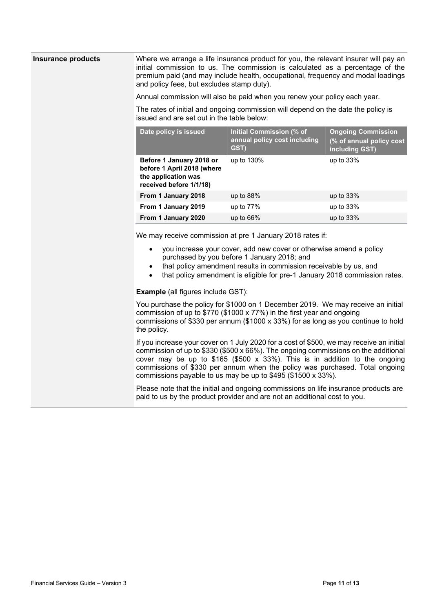**Insurance products** Where we arrange a life insurance product for you, the relevant insurer will pay an initial commission to us. The commission is calculated as a percentage of the premium paid (and may include health, occupational, frequency and modal loadings and policy fees, but excludes stamp duty).

Annual commission will also be paid when you renew your policy each year.

The rates of initial and ongoing commission will depend on the date the policy is issued and are set out in the table below:

| Date policy is issued                                                                                    | Initial Commission (% of<br>annual policy cost including<br>GST) | <b>Ongoing Commission</b><br>(% of annual policy cost<br>including GST) |
|----------------------------------------------------------------------------------------------------------|------------------------------------------------------------------|-------------------------------------------------------------------------|
| Before 1 January 2018 or<br>before 1 April 2018 (where<br>the application was<br>received before 1/1/18) | up to 130%                                                       | up to $33%$                                                             |
| From 1 January 2018                                                                                      | up to $88\%$                                                     | up to $33%$                                                             |
| From 1 January 2019                                                                                      | up to $77\%$                                                     | up to $33%$                                                             |
| From 1 January 2020                                                                                      | up to $66\%$                                                     | up to $33%$                                                             |

We may receive commission at pre 1 January 2018 rates if:

- you increase your cover, add new cover or otherwise amend a policy purchased by you before 1 January 2018; and
- that policy amendment results in commission receivable by us, and
- that policy amendment is eligible for pre-1 January 2018 commission rates.

**Example** (all figures include GST):

You purchase the policy for \$1000 on 1 December 2019. We may receive an initial commission of up to \$770 (\$1000 x 77%) in the first year and ongoing commissions of \$330 per annum (\$1000 x 33%) for as long as you continue to hold the policy.

If you increase your cover on 1 July 2020 for a cost of \$500, we may receive an initial commission of up to \$330 (\$500 x 66%). The ongoing commissions on the additional cover may be up to  $$165$  (\$500 x 33%). This is in addition to the ongoing commissions of \$330 per annum when the policy was purchased. Total ongoing commissions payable to us may be up to \$495 (\$1500 x 33%).

Please note that the initial and ongoing commissions on life insurance products are paid to us by the product provider and are not an additional cost to you.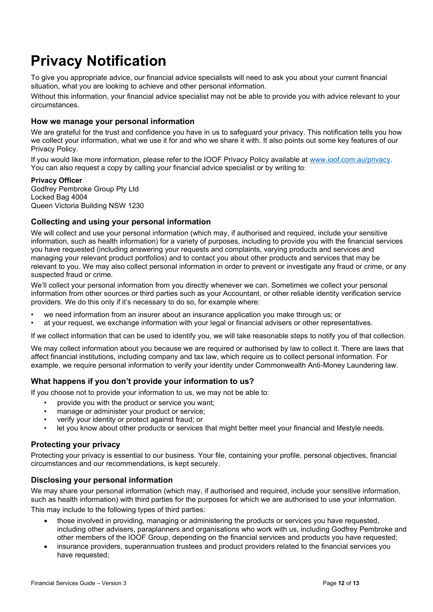### **Privacy Notification**

To give you appropriate advice, our financial advice specialists will need to ask you about your current financial situation, what you are looking to achieve and other personal information.

Without this information, your financial advice specialist may not be able to provide you with advice relevant to your circumstances.

#### **How we manage your personal information**

We are grateful for the trust and confidence you have in us to safeguard your privacy. This notification tells you how we collect your information, what we use it for and who we share it with. It also points out some key features of our Privacy Policy.

If you would like more information, please refer to the IOOF Privacy Policy available at [www.ioof.com.au/privacy.](http://www.ioof.com.au/privacy) You can also request a copy by calling your financial advice specialist or by writing to:

#### **Privacy Officer**

Godfrey Pembroke Group Pty Ltd Locked Bag 4004 Queen Victoria Building NSW 1230

#### **Collecting and using your personal information**

We will collect and use your personal information (which may, if authorised and required, include your sensitive information, such as health information) for a variety of purposes, including to provide you with the financial services you have requested (including answering your requests and complaints, varying products and services and managing your relevant product portfolios) and to contact you about other products and services that may be relevant to you. We may also collect personal information in order to prevent or investigate any fraud or crime, or any suspected fraud or crime.

We'll collect your personal information from you directly whenever we can. Sometimes we collect your personal information from other sources or third parties such as your Accountant, or other reliable identity verification service providers. We do this only if it's necessary to do so, for example where:

- we need information from an insurer about an insurance application you make through us; or
- at your request, we exchange information with your legal or financial advisers or other representatives.

If we collect information that can be used to identify you, we will take reasonable steps to notify you of that collection.

We may collect information about you because we are required or authorised by law to collect it. There are laws that affect financial institutions, including company and tax law, which require us to collect personal information. For example, we require personal information to verify your identity under Commonwealth Anti-Money Laundering law.

#### **What happens if you don't provide your information to us?**

If you choose not to provide your information to us, we may not be able to:

- provide you with the product or service you want;
- manage or administer your product or service:
- verify your identity or protect against fraud; or
- let you know about other products or services that might better meet your financial and lifestyle needs.

#### **Protecting your privacy**

Protecting your privacy is essential to our business. Your file, containing your profile, personal objectives, financial circumstances and our recommendations, is kept securely.

#### **Disclosing your personal information**

We may share your personal information (which may, if authorised and required, include your sensitive information, such as health information) with third parties for the purposes for which we are authorised to use your information. This may include to the following types of third parties:

- those involved in providing, managing or administering the products or services you have requested, including other advisers, paraplanners and organisations who work with us, including Godfrey Pembroke and other members of the IOOF Group, depending on the financial services and products you have requested;
- insurance providers, superannuation trustees and product providers related to the financial services you have requested: